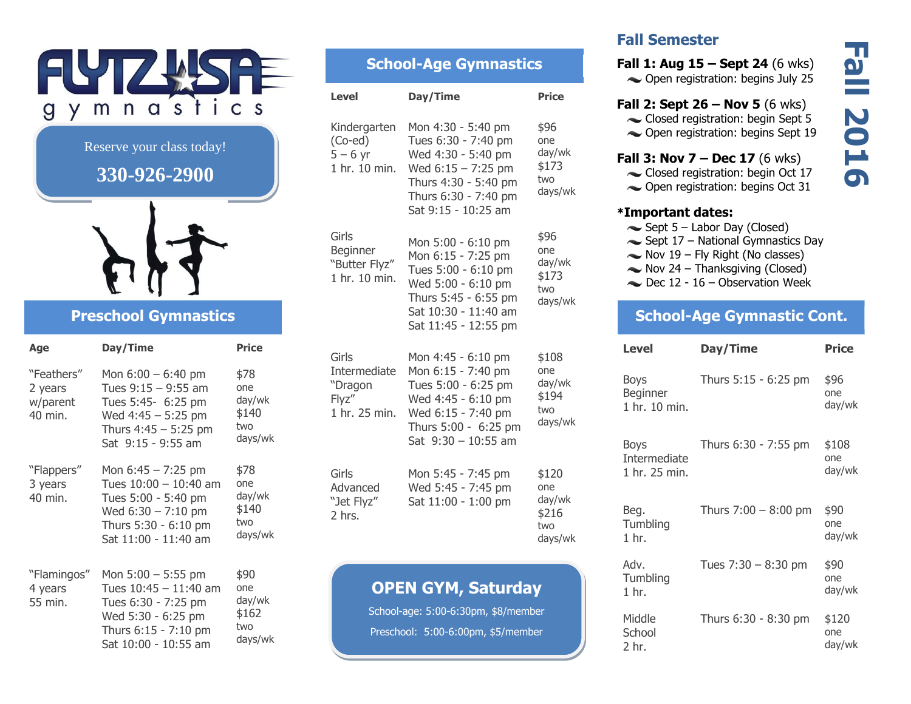

### Reserve your class today!

## **330-926-2900**



## **Preschool Gymnastics**

| Age                                          | Day/Time                                                                                                                                       | <b>Price</b>                                     |
|----------------------------------------------|------------------------------------------------------------------------------------------------------------------------------------------------|--------------------------------------------------|
| "Feathers"<br>2 years<br>w/parent<br>40 min. | Mon $6:00 - 6:40$ pm<br>Tues $9:15 - 9:55$ am<br>Tues 5:45- 6:25 pm<br>Wed $4:45 - 5:25$ pm<br>Thurs $4:45 - 5:25$ pm<br>Sat 9:15 - 9:55 am    | \$78<br>one<br>day/wk<br>\$140<br>two<br>days/wk |
| "Flappers"<br>3 years<br>40 min.             | Mon $6:45 - 7:25$ pm<br>Tues $10:00 - 10:40$ am<br>Tues 5:00 - 5:40 pm<br>Wed $6:30 - 7:10$ pm<br>Thurs 5:30 - 6:10 pm<br>Sat 11:00 - 11:40 am | \$78<br>one<br>day/wk<br>\$140<br>two<br>days/wk |
| "Flamingos"<br>4 years<br>55 min.            | Mon $5:00 - 5:55$ pm<br>Tues $10:45 - 11:40$ am<br>Tues 6:30 - 7:25 pm<br>Wed 5:30 - 6:25 pm<br>Thurs 6:15 - 7:10 pm<br>Sat 10:00 - 10:55 am   | \$90<br>one<br>day/wk<br>\$162<br>two<br>days/wk |

# **School-Age Gymnastics**

| <b>Level</b>                                                 | Day/Time                                                                                                                                                       | <b>Price</b>                                      |
|--------------------------------------------------------------|----------------------------------------------------------------------------------------------------------------------------------------------------------------|---------------------------------------------------|
| Kindergarten<br>$(Co$ -ed $)$<br>$5 - 6$ yr<br>1 hr. 10 min. | Mon 4:30 - 5:40 pm<br>Tues 6:30 - 7:40 pm<br>Wed 4:30 - 5:40 pm<br>Wed $6:15 - 7:25$ pm<br>Thurs 4:30 - 5:40 pm<br>Thurs 6:30 - 7:40 pm<br>Sat 9:15 - 10:25 am | \$96<br>one<br>day/wk<br>\$173<br>two<br>days/wk  |
| Girls<br>Beginner<br>"Butter Flyz"<br>1 hr. 10 min.          | Mon 5:00 - 6:10 pm<br>Mon 6:15 - 7:25 pm<br>Tues 5:00 - 6:10 pm<br>Wed 5:00 - 6:10 pm<br>Thurs 5:45 - 6:55 pm<br>Sat 10:30 - 11:40 am<br>Sat 11:45 - 12:55 pm  | \$96<br>one<br>day/wk<br>\$173<br>two<br>days/wk  |
| Girls<br>Intermediate<br>"Dragon<br>Flyz"<br>1 hr. 25 min.   | Mon 4:45 - 6:10 pm<br>Mon 6:15 - 7:40 pm<br>Tues 5:00 - 6:25 pm<br>Wed 4:45 - 6:10 pm<br>Wed 6:15 - 7:40 pm<br>Thurs 5:00 - 6:25 pm<br>Sat $9:30 - 10:55$ am   | \$108<br>one<br>day/wk<br>\$194<br>two<br>days/wk |
| Girls<br>Advanced<br>"Jet Flyz"<br>2 hrs.                    | Mon 5:45 - 7:45 pm<br>Wed 5:45 - 7:45 pm<br>Sat 11:00 - 1:00 pm                                                                                                | \$120<br>one<br>day/wk<br>\$216<br>two<br>days/wk |

## **OPEN GYM, Saturday**

School-age: 5:00-6:30pm, \$8/member Preschool: 5:00-6:00pm, \$5/member

## **Fall Semester**

**Fall 1: Aug 15 – Sept 24** (6 wks) Open registration: begins July 25

### **Fall 2: Sept 26 – Nov 5** (6 wks)

- Closed registration: begin Sept 5
- Open registration: begins Sept 19

#### **Fall 3: Nov 7 – Dec 17** (6 wks)

- Closed registration: begin Oct 17
- $\sim$  Open registration: begins Oct 31

#### **\*Important dates:**

- $\sim$  Sept 5 Labor Day (Closed)
- $\sim$  Sept 17 National Gymnastics Day
- $\sim$  Nov 19 Fly Right (No classes)
- $\sim$  Nov 24 Thanksgiving (Closed)
- $\sim$  Dec 12 16 Observation Week

### **School-Age Gymnastic Cont.**

| Level                                 | Day/Time               | <b>Price</b>            |
|---------------------------------------|------------------------|-------------------------|
| Boys<br>Beginner<br>1 hr. 10 min.     | Thurs 5:15 - 6:25 pm   | \$96<br>one<br>day/wk   |
| Boys<br>Intermediate<br>1 hr. 25 min. | Thurs 6:30 - 7:55 pm   | \$108<br>one.<br>day/wk |
| Beg.<br>Tumbling<br>$1$ hr.           | Thurs $7:00 - 8:00$ pm | \$90<br>one<br>day/wk   |
| Adv.<br>Tumbling<br>$1$ hr.           | Tues $7:30 - 8:30$ pm  | \$90<br>one<br>day/wk   |
| Middle<br>School<br>2 hr.             | Thurs 6:30 - 8:30 pm   | \$120<br>one<br>day/wk  |